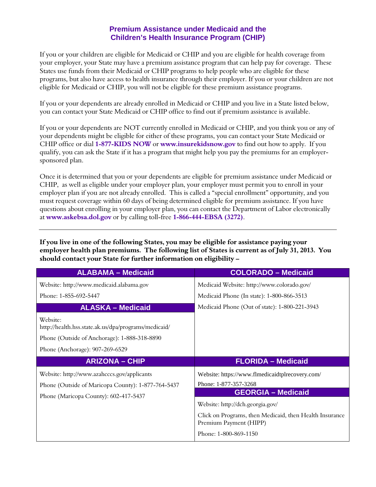## **Premium Assistance under Medicaid and the Children's Health Insurance Program (CHIP)**

If you or your children are eligible for Medicaid or CHIP and you are eligible for health coverage from your employer, your State may have a premium assistance program that can help pay for coverage. These States use funds from their Medicaid or CHIP programs to help people who are eligible for these programs, but also have access to health insurance through their employer. If you or your children are not eligible for Medicaid or CHIP, you will not be eligible for these premium assistance programs.

If you or your dependents are already enrolled in Medicaid or CHIP and you live in a State listed below, you can contact your State Medicaid or CHIP office to find out if premium assistance is available.

If you or your dependents are NOT currently enrolled in Medicaid or CHIP, and you think you or any of your dependents might be eligible for either of these programs, you can contact your State Medicaid or CHIP office or dial **1-877-KIDS NOW** or **www.insurekidsnow.gov** to find out how to apply. If you qualify, you can ask the State if it has a program that might help you pay the premiums for an employersponsored plan.

Once it is determined that you or your dependents are eligible for premium assistance under Medicaid or CHIP, as well as eligible under your employer plan, your employer must permit you to enroll in your employer plan if you are not already enrolled. This is called a "special enrollment" opportunity, and you must request coverage within 60 days of being determined eligible for premium assistance. If you have questions about enrolling in your employer plan, you can contact the Department of Labor electronically at **[www.askebsa.dol.gov](http://www.askebsa.dol.gov/)** or by calling toll-free **1-866-444-EBSA (3272)**.

**If you live in one of the following States, you may be eligible for assistance paying your employer health plan premiums. The following list of States is current as of July 31, 2013. You should contact your State for further information on eligibility –**

| <b>ALABAMA - Medicaid</b>                                                                                                                           | <b>COLORADO - Medicaid</b>                                                                            |
|-----------------------------------------------------------------------------------------------------------------------------------------------------|-------------------------------------------------------------------------------------------------------|
| Website: http://www.medicaid.alabama.gov                                                                                                            | Medicaid Website: http://www.colorado.gov/                                                            |
| Phone: 1-855-692-5447                                                                                                                               | Medicaid Phone (In state): 1-800-866-3513                                                             |
| <b>ALASKA - Medicaid</b>                                                                                                                            | Medicaid Phone (Out of state): 1-800-221-3943                                                         |
| Website:<br>http://health.hss.state.ak.us/dpa/programs/medicaid/<br>Phone (Outside of Anchorage): 1-888-318-8890<br>Phone (Anchorage): 907-269-6529 |                                                                                                       |
|                                                                                                                                                     |                                                                                                       |
| <b>ARIZONA - CHIP</b>                                                                                                                               | <b>FLORIDA - Medicaid</b>                                                                             |
| Website: http://www.azahcccs.gov/applicants<br>Phone (Outside of Maricopa County): 1-877-764-5437<br>Phone (Maricopa County): 602-417-5437          | Website: https://www.flmedicaidtplrecovery.com/<br>Phone: 1-877-357-3268<br><b>GEORGIA - Medicaid</b> |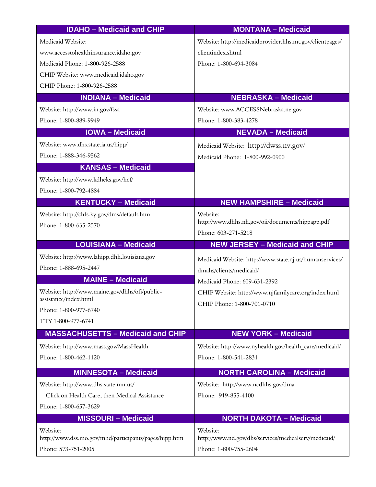| <b>IDAHO - Medicaid and CHIP</b>                                             | <b>MONTANA - Medicaid</b>                                                     |
|------------------------------------------------------------------------------|-------------------------------------------------------------------------------|
| Medicaid Website:                                                            | Website: http://medicaidprovider.hhs.mt.gov/clientpages/                      |
| www.accesstohealthinsurance.idaho.gov                                        | clientindex.shtml                                                             |
| Medicaid Phone: 1-800-926-2588                                               | Phone: 1-800-694-3084                                                         |
| CHIP Website: www.medicaid.idaho.gov                                         |                                                                               |
| CHIP Phone: 1-800-926-2588                                                   |                                                                               |
| <b>INDIANA - Medicaid</b>                                                    | <b>NEBRASKA - Medicaid</b>                                                    |
| Website: http://www.in.gov/fssa                                              | Website: www.ACCESSNebraska.ne.gov                                            |
| Phone: 1-800-889-9949                                                        | Phone: 1-800-383-4278                                                         |
| <b>IOWA - Medicaid</b>                                                       | <b>NEVADA - Medicaid</b>                                                      |
| Website: www.dhs.state.ia.us/hipp/                                           | Medicaid Website: http://dwss.nv.gov/                                         |
| Phone: 1-888-346-9562                                                        | Medicaid Phone: 1-800-992-0900                                                |
| <b>KANSAS - Medicaid</b>                                                     |                                                                               |
| Website: http://www.kdheks.gov/hcf/                                          |                                                                               |
| Phone: 1-800-792-4884                                                        |                                                                               |
| <b>KENTUCKY - Medicaid</b>                                                   | <b>NEW HAMPSHIRE - Medicaid</b>                                               |
| Website: http://chfs.ky.gov/dms/default.htm                                  | Website:                                                                      |
| Phone: 1-800-635-2570                                                        | http://www.dhhs.nh.gov/oii/documents/hippapp.pdf                              |
|                                                                              | Phone: 603-271-5218                                                           |
|                                                                              |                                                                               |
| <b>LOUISIANA - Medicaid</b>                                                  | <b>NEW JERSEY - Medicaid and CHIP</b>                                         |
| Website: http://www.lahipp.dhh.louisiana.gov                                 | Medicaid Website: http://www.state.nj.us/humanservices/                       |
| Phone: 1-888-695-2447                                                        | dmahs/clients/medicaid/                                                       |
| <b>MAINE - Medicaid</b>                                                      | Medicaid Phone: 609-631-2392                                                  |
| Website: http://www.maine.gov/dhhs/ofi/public-                               | CHIP Website: http://www.njfamilycare.org/index.html                          |
| assistance/index.html                                                        | CHIP Phone: 1-800-701-0710                                                    |
| Phone: 1-800-977-6740                                                        |                                                                               |
| TTY 1-800-977-6741                                                           |                                                                               |
| <b>MASSACHUSETTS - Medicaid and CHIP</b>                                     | <b>NEW YORK - Medicaid</b>                                                    |
| Website: http://www.mass.gov/MassHealth                                      | Website: http://www.nyhealth.gov/health care/medicaid/                        |
| Phone: 1-800-462-1120                                                        | Phone: 1-800-541-2831                                                         |
| <b>MINNESOTA - Medicaid</b>                                                  | <b>NORTH CAROLINA - Medicaid</b>                                              |
| Website: http://www.dhs.state.mn.us/                                         | Website: http://www.ncdhhs.gov/dma                                            |
| Click on Health Care, then Medical Assistance                                | Phone: 919-855-4100                                                           |
| Phone: 1-800-657-3629                                                        |                                                                               |
| <b>MISSOURI-Medicaid</b>                                                     | <b>NORTH DAKOTA - Medicaid</b>                                                |
| Website:                                                                     | Website:                                                                      |
| http://www.dss.mo.gov/mhd/participants/pages/hipp.htm<br>Phone: 573-751-2005 | http://www.nd.gov/dhs/services/medicalserv/medicaid/<br>Phone: 1-800-755-2604 |